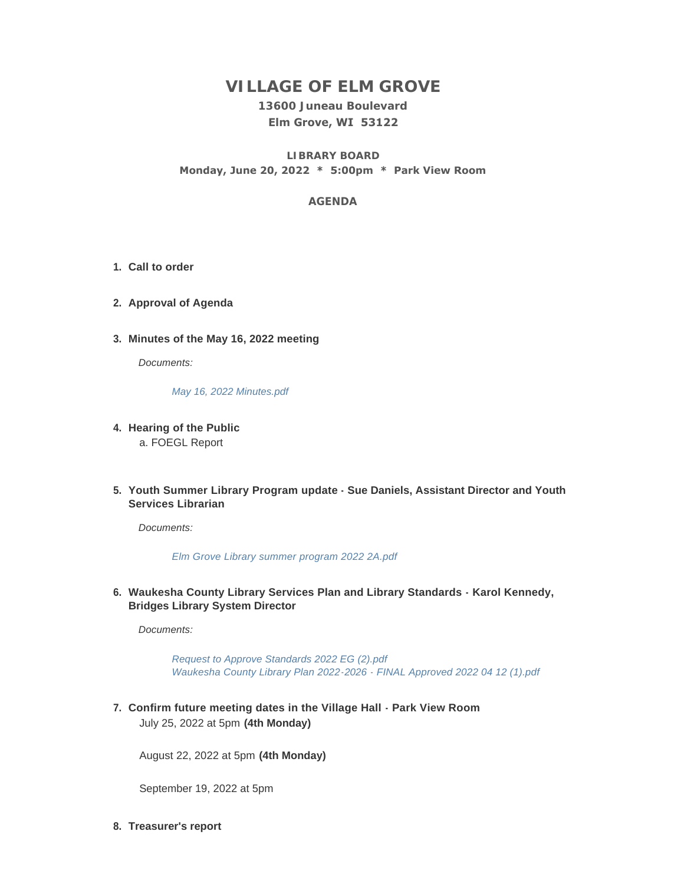# **VILLAGE OF ELM GROVE**

**13600 Juneau Boulevard Elm Grove, WI 53122**

**LIBRARY BOARD Monday, June 20, 2022 \* 5:00pm \* Park View Room**

## **AGENDA**

- **Call to order 1.**
- **Approval of Agenda 2.**
- **Minutes of the May 16, 2022 meeting 3.**

*Documents:*

*[May 16, 2022 Minutes.pdf](https://elmgrovewi.org/AgendaCenter/ViewFile/Item/11988?fileID=19213)*

- **Hearing of the Public 4.** a. FOEGL Report
- **Youth Summer Library Program update Sue Daniels, Assistant Director and Youth 5. Services Librarian**

*Documents:*

*[Elm Grove Library summer program 2022 2A.pdf](https://elmgrovewi.org/AgendaCenter/ViewFile/Item/12036?fileID=19394)*

**Waukesha County Library Services Plan and Library Standards - Karol Kennedy, 6. Bridges Library System Director**

*Documents:*

*[Request to Approve Standards 2022 EG \(2\).pdf](https://elmgrovewi.org/AgendaCenter/ViewFile/Item/12035?fileID=19381) [Waukesha County Library Plan 2022-2026 - FINAL Approved 2022 04 12 \(1\).pdf](https://elmgrovewi.org/AgendaCenter/ViewFile/Item/12035?fileID=19388)*

**Confirm future meeting dates in the Village Hall - Park View Room 7.** July 25, 2022 at 5pm **(4th Monday)**

August 22, 2022 at 5pm **(4th Monday)**

September 19, 2022 at 5pm

**Treasurer's report 8.**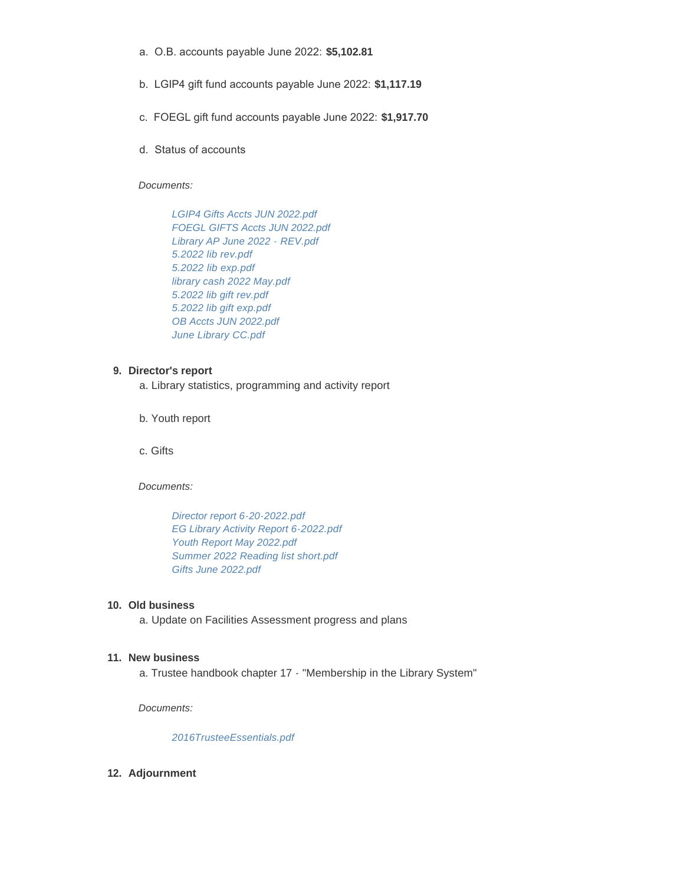- a. O.B. accounts payable June 2022: **\$5,102.81**
- b. LGIP4 gift fund accounts payable June 2022: **\$1,117.19**
- c. FOEGL gift fund accounts payable June 2022: **\$1,917.70**
- d. Status of accounts

*Documents:*

*[LGIP4 Gifts Accts JUN 2022.pdf](https://elmgrovewi.org/AgendaCenter/ViewFile/Item/12039?fileID=19370) [FOEGL GIFTS Accts JUN 2022.pdf](https://elmgrovewi.org/AgendaCenter/ViewFile/Item/12039?fileID=19371) [Library AP June 2022 - REV.pdf](https://elmgrovewi.org/AgendaCenter/ViewFile/Item/12039?fileID=19372) [5.2022 lib rev.pdf](https://elmgrovewi.org/AgendaCenter/ViewFile/Item/12039?fileID=19373) [5.2022 lib exp.pdf](https://elmgrovewi.org/AgendaCenter/ViewFile/Item/12039?fileID=19374) [library cash 2022 May.pdf](https://elmgrovewi.org/AgendaCenter/ViewFile/Item/12039?fileID=19375) [5.2022 lib gift rev.pdf](https://elmgrovewi.org/AgendaCenter/ViewFile/Item/12039?fileID=19376) [5.2022 lib gift exp.pdf](https://elmgrovewi.org/AgendaCenter/ViewFile/Item/12039?fileID=19377) [OB Accts JUN 2022.pdf](https://elmgrovewi.org/AgendaCenter/ViewFile/Item/12039?fileID=19378) [June Library CC.pdf](https://elmgrovewi.org/AgendaCenter/ViewFile/Item/12039?fileID=19379)*

#### **Director's report 9.**

- a. Library statistics, programming and activity report
- b. Youth report

c. Gifts

*Documents:*

*[Director report 6-20-2022.pdf](https://elmgrovewi.org/AgendaCenter/ViewFile/Item/12048?fileID=19389) [EG Library Activity Report 6-2022.pdf](https://elmgrovewi.org/AgendaCenter/ViewFile/Item/12048?fileID=19390) [Youth Report May 2022.pdf](https://elmgrovewi.org/AgendaCenter/ViewFile/Item/12048?fileID=19391) [Summer 2022 Reading list short.pdf](https://elmgrovewi.org/AgendaCenter/ViewFile/Item/12048?fileID=19392) [Gifts June 2022.pdf](https://elmgrovewi.org/AgendaCenter/ViewFile/Item/12048?fileID=19393)*

#### **Old business 10.**

a. Update on Facilities Assessment progress and plans

#### **New business 11.**

a. Trustee handbook chapter 17 - "Membership in the Library System"

*Documents:*

### *[2016TrusteeEssentials.pdf](https://elmgrovewi.org/AgendaCenter/ViewFile/Item/12038?fileID=19358)*

**Adjournment 12.**